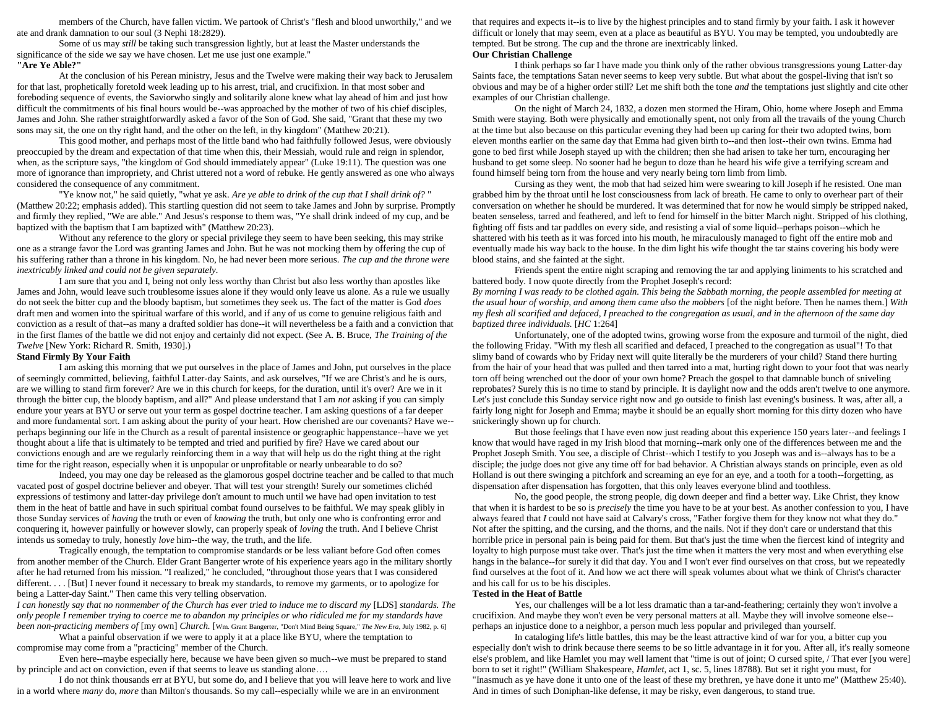members of the Church, have fallen victim. We partook of Christ's "flesh and blood unworthily," and we ate and drank damnation to our soul (3 Nephi 18:2829).

Some of us may *still* be taking such transgression lightly, but at least the Master understands the significance of the side we say we have chosen. Let me use just one example." **"Are Ye Able?"**

At the conclusion of his Perean ministry, Jesus and the Twelve were making their way back to Jerusalem for that last, prophetically foretold week leading up to his arrest, trial, and crucifixion. In that most sober and foreboding sequence of events, the Saviorwho singly and solitarily alone knew what lay ahead of him and just how difficult the commitments of his final hours would be--was approached by the mother of two of his chief disciples, James and John. She rather straightforwardly asked a favor of the Son of God. She said, "Grant that these my two sons may sit, the one on thy right hand, and the other on the left, in thy kingdom" (Matthew 20:21).

This good mother, and perhaps most of the little band who had faithfully followed Jesus, were obviously preoccupied by the dream and expectation of that time when this, their Messiah, would rule and reign in splendor, when, as the scripture says, "the kingdom of God should immediately appear" (Luke 19:11). The question was one more of ignorance than impropriety, and Christ uttered not a word of rebuke. He gently answered as one who always considered the consequence of any commitment.

"Ye know not," he said quietly, "what ye ask. *Are ye able to drink of the cup that I shall drink of?* " (Matthew 20:22; emphasis added). This startling question did not seem to take James and John by surprise. Promptly and firmly they replied, "We are able." And Jesus's response to them was, "Ye shall drink indeed of my cup, and be baptized with the baptism that I am baptized with" (Matthew 20:23).

Without any reference to the glory or special privilege they seem to have been seeking, this may strike one as a strange favor the Lord was granting James and John. But he was not mocking them by offering the cup of his suffering rather than a throne in his kingdom. No, he had never been more serious. *The cup and the throne were inextricably linked and could not be given separately.*

I am sure that you and I, being not only less worthy than Christ but also less worthy than apostles like James and John, would leave such troublesome issues alone if they would only leave us alone. As a rule we usually do not seek the bitter cup and the bloody baptism, but sometimes they seek us. The fact of the matter is God *does*  draft men and women into the spiritual warfare of this world, and if any of us come to genuine religious faith and conviction as a result of that--as many a drafted soldier has done--it will nevertheless be a faith and a conviction that in the first flames of the battle we did not enjoy and certainly did not expect. (See A. B. Bruce, *The Training of the Twelve* [New York: Richard R. Smith, 1930].)

#### **Stand Firmly By Your Faith**

I am asking this morning that we put ourselves in the place of James and John, put ourselves in the place of seemingly committed, believing, faithful Latter-day Saints, and ask ourselves, "If we are Christ's and he is ours, are we willing to stand firm forever? Are we in this church for keeps, for the duration, until it's over? Are we in it through the bitter cup, the bloody baptism, and all?" And please understand that I am *not* asking if you can simply endure your years at BYU or serve out your term as gospel doctrine teacher. I am asking questions of a far deeper and more fundamental sort. I am asking about the purity of your heart. How cherished are our covenants? Have we- perhaps beginning our life in the Church as a result of parental insistence or geographic happenstance--have we yet thought about a life that is ultimately to be tempted and tried and purified by fire? Have we cared about our convictions enough and are we regularly reinforcing them in a way that will help us do the right thing at the right time for the right reason, especially when it is unpopular or unprofitable or nearly unbearable to do so?

Indeed, you may one day be released as the glamorous gospel doctrine teacher and be called to that much vacated post of gospel doctrine believer and obeyer. That will test your strength! Surely our sometimes clichéd expressions of testimony and latter-day privilege don't amount to much until we have had open invitation to test them in the heat of battle and have in such spiritual combat found ourselves to be faithful. We may speak glibly in those Sunday services of *having* the truth or even of *knowing* the truth, but only one who is confronting error and conquering it, however painfully or however slowly, can properly speak of *loving* the truth. And I believe Christ intends us someday to truly, honestly *love* him--the way, the truth, and the life.

Tragically enough, the temptation to compromise standards or be less valiant before God often comes from another member of the Church. Elder Grant Bangerter wrote of his experience years ago in the military shortly after he had returned from his mission. "I realized," he concluded, "throughout those years that I was considered different. . . . [But] I never found it necessary to break my standards, to remove my garments, or to apologize for being a Latter-day Saint." Then came this very telling observation.

*I can honestly say that no nonmember of the Church has ever tried to induce me to discard my* [LDS] *standards. The only people I remember trying to coerce me to abandon my principles or who ridiculed me for my standards have been non-practicing members of*  $\lceil \text{my own} \rceil$  *Church.*  $\lceil \text{Wm} \rceil$  *Crant Bangerter, "Don't Mind Being Square," The New Era, July 1982, p. 6*]

What a painful observation if we were to apply it at a place like BYU, where the temptation to compromise may come from a "practicing" member of the Church.

Even here--maybe especially here, because we have been given so much--we must be prepared to stand by principle and act on conviction, even if that seems to leave us standing alone….

I do not think thousands err at BYU, but some do, and I believe that you will leave here to work and live in a world where *many* do, *more* than Milton's thousands. So my call--especially while we are in an environment

that requires and expects it--is to live by the highest principles and to stand firmly by your faith. I ask it however difficult or lonely that may seem, even at a place as beautiful as BYU. You may be tempted, you undoubtedly are tempted. But be strong. The cup and the throne are inextricably linked.

# **Our Christian Challenge**

I think perhaps so far I have made you think only of the rather obvious transgressions young Latter-day Saints face, the temptations Satan never seems to keep very subtle. But what about the gospel-living that isn't so obvious and may be of a higher order still? Let me shift both the tone *and* the temptations just slightly and cite other examples of our Christian challenge.

On the night of March 24, 1832, a dozen men stormed the Hiram, Ohio, home where Joseph and Emma Smith were staying. Both were physically and emotionally spent, not only from all the travails of the young Church at the time but also because on this particular evening they had been up caring for their two adopted twins, born eleven months earlier on the same day that Emma had given birth to--and then lost--their own twins. Emma had gone to bed first while Joseph stayed up with the children; then she had arisen to take her turn, encouraging her husband to get some sleep. No sooner had he begun to doze than he heard his wife give a terrifying scream and found himself being torn from the house and very nearly being torn limb from limb.

Cursing as they went, the mob that had seized him were swearing to kill Joseph if he resisted. One man grabbed him by the throat until he lost consciousness from lack of breath. He came to only to overhear part of their conversation on whether he should be murdered. It was determined that for now he would simply be stripped naked, beaten senseless, tarred and feathered, and left to fend for himself in the bitter March night. Stripped of his clothing, fighting off fists and tar paddles on every side, and resisting a vial of some liquid--perhaps poison--which he shattered with his teeth as it was forced into his mouth, he miraculously managed to fight off the entire mob and eventually made his way back to the house. In the dim light his wife thought the tar stains covering his body were blood stains, and she fainted at the sight.

Friends spent the entire night scraping and removing the tar and applying liniments to his scratched and battered body. I now quote directly from the Prophet Joseph's record:

*By morning I was ready to be clothed again. This being the Sabbath morning, the people assembled for meeting at the usual hour of worship, and among them came also the mobbers* [of the night before. Then he names them.] *With my flesh all scarified and defaced, I preached to the congregation as usual, and in the afternoon of the same day baptized three individuals.* [*HC* 1:264]

Unfortunately, one of the adopted twins, growing worse from the exposure and turmoil of the night, died the following Friday. "With my flesh all scarified and defaced, I preached to the congregation as usual"! To that slimy band of cowards who by Friday next will quite literally be the murderers of your child? Stand there hurting from the hair of your head that was pulled and then tarred into a mat, hurting right down to your foot that was nearly torn off being wrenched out the door of your own home? Preach the gospel to that damnable bunch of sniveling reprobates? Surely this is no time to stand by principle. It is daylight now and the odds aren't twelve to one anymore. Let's just conclude this Sunday service right now and go outside to finish last evening's business. It was, after all, a fairly long night for Joseph and Emma; maybe it should be an equally short morning for this dirty dozen who have snickeringly shown up for church.

But those feelings that I have even now just reading about this experience 150 years later--and feelings I know that would have raged in my Irish blood that morning--mark only one of the differences between me and the Prophet Joseph Smith. You see, a disciple of Christ--which I testify to you Joseph was and is--always has to be a disciple; the judge does not give any time off for bad behavior. A Christian always stands on principle, even as old Holland is out there swinging a pitchfork and screaming an eye for an eye, and a tooth for a tooth--forgetting, as dispensation after dispensation has forgotten, that this only leaves everyone blind and toothless.

No, the good people, the strong people, dig down deeper and find a better way. Like Christ, they know that when it is hardest to be so is *precisely* the time you have to be at your best. As another confession to you, I have always feared that *I* could not have said at Calvary's cross, "Father forgive them for they know not what they do." Not after the spitting, and the cursing, and the thorns, and the nails. Not if they don't care or understand that this horrible price in personal pain is being paid for them. But that's just the time when the fiercest kind of integrity and loyalty to high purpose must take over. That's just the time when it matters the very most and when everything else hangs in the balance--for surely it did that day. You and I won't ever find ourselves on that cross, but we repeatedly find ourselves at the foot of it. And how we act there will speak volumes about what we think of Christ's character and his call for us to be his disciples.

# **Tested in the Heat of Battle**

Yes, our challenges will be a lot less dramatic than a tar-and-feathering; certainly they won't involve a crucifixion. And maybe they won't even be very personal matters at all. Maybe they will involve someone else- perhaps an injustice done to a neighbor, a person much less popular and privileged than yourself.

In cataloging life's little battles, this may be the least attractive kind of war for you, a bitter cup you especially don't wish to drink because there seems to be so little advantage in it for you. After all, it's really someone else's problem, and like Hamlet you may well lament that "time is out of joint; O cursed spite, / That ever [you were] born to set it right!" (William Shakespeare, *Hamlet,* act 1, sc. 5, lines 18788). But set it right you must, for "Inasmuch as ye have done it unto one of the least of these my brethren, ye have done it unto me" (Matthew 25:40). And in times of such Doniphan-like defense, it may be risky, even dangerous, to stand true.